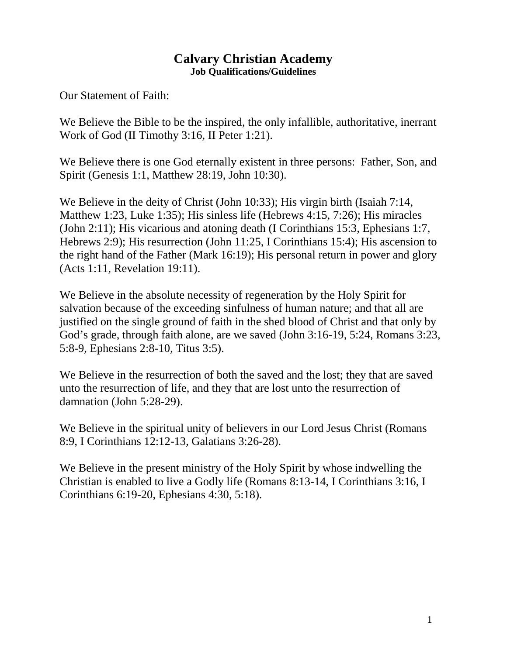## **Calvary Christian Academy Job Qualifications/Guidelines**

Our Statement of Faith:

We Believe the Bible to be the inspired, the only infallible, authoritative, inerrant Work of God (II Timothy 3:16, II Peter 1:21).

We Believe there is one God eternally existent in three persons: Father, Son, and Spirit (Genesis 1:1, Matthew 28:19, John 10:30).

We Believe in the deity of Christ (John 10:33); His virgin birth (Isaiah 7:14, Matthew 1:23, Luke 1:35); His sinless life (Hebrews 4:15, 7:26); His miracles (John 2:11); His vicarious and atoning death (I Corinthians 15:3, Ephesians 1:7, Hebrews 2:9); His resurrection (John 11:25, I Corinthians 15:4); His ascension to the right hand of the Father (Mark 16:19); His personal return in power and glory (Acts 1:11, Revelation 19:11).

We Believe in the absolute necessity of regeneration by the Holy Spirit for salvation because of the exceeding sinfulness of human nature; and that all are justified on the single ground of faith in the shed blood of Christ and that only by God's grade, through faith alone, are we saved (John 3:16-19, 5:24, Romans 3:23, 5:8-9, Ephesians 2:8-10, Titus 3:5).

We Believe in the resurrection of both the saved and the lost; they that are saved unto the resurrection of life, and they that are lost unto the resurrection of damnation (John 5:28-29).

We Believe in the spiritual unity of believers in our Lord Jesus Christ (Romans 8:9, I Corinthians 12:12-13, Galatians 3:26-28).

We Believe in the present ministry of the Holy Spirit by whose indwelling the Christian is enabled to live a Godly life (Romans 8:13-14, I Corinthians 3:16, I Corinthians 6:19-20, Ephesians 4:30, 5:18).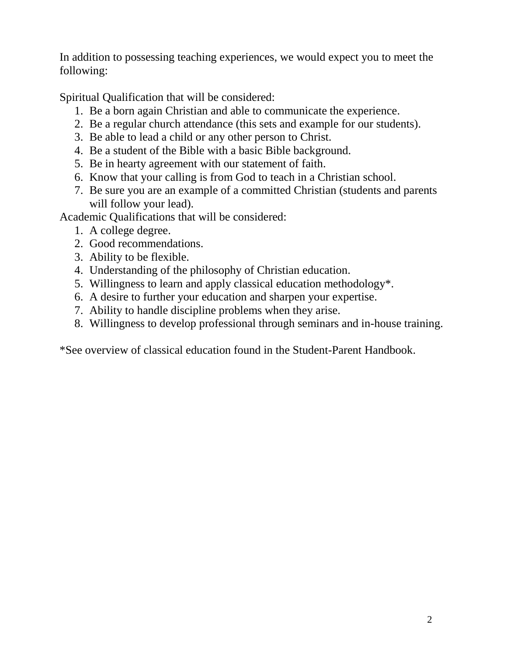In addition to possessing teaching experiences, we would expect you to meet the following:

Spiritual Qualification that will be considered:

- 1. Be a born again Christian and able to communicate the experience.
- 2. Be a regular church attendance (this sets and example for our students).
- 3. Be able to lead a child or any other person to Christ.
- 4. Be a student of the Bible with a basic Bible background.
- 5. Be in hearty agreement with our statement of faith.
- 6. Know that your calling is from God to teach in a Christian school.
- 7. Be sure you are an example of a committed Christian (students and parents will follow your lead).

Academic Qualifications that will be considered:

- 1. A college degree.
- 2. Good recommendations.
- 3. Ability to be flexible.
- 4. Understanding of the philosophy of Christian education.
- 5. Willingness to learn and apply classical education methodology\*.
- 6. A desire to further your education and sharpen your expertise.
- 7. Ability to handle discipline problems when they arise.
- 8. Willingness to develop professional through seminars and in-house training.

\*See overview of classical education found in the Student-Parent Handbook.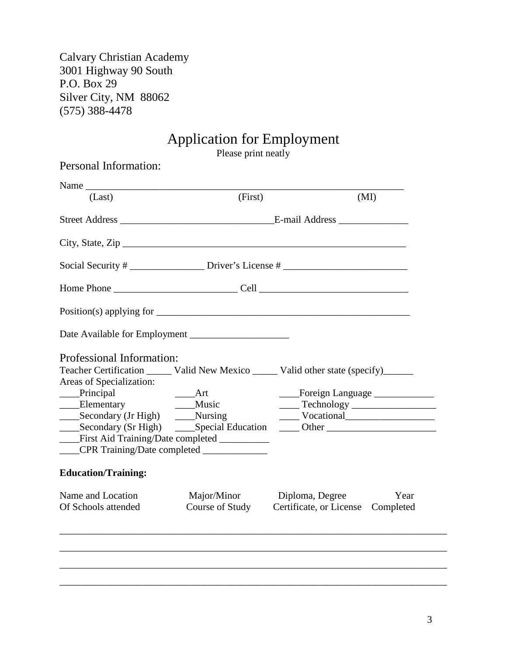Calvary Christian Academy 3001 Highway 90 South P.O. Box 29 Silver City, NM 88062 (575) 388-4478

# Application for Employment

Please print neatly

|                                    | Personal Information:                       |                                                                                       |
|------------------------------------|---------------------------------------------|---------------------------------------------------------------------------------------|
| Name                               |                                             |                                                                                       |
| (Last)                             | (First)                                     | (MI)                                                                                  |
|                                    |                                             |                                                                                       |
|                                    |                                             |                                                                                       |
|                                    |                                             | Social Security # ______________________Driver's License # ______________________     |
|                                    |                                             |                                                                                       |
|                                    |                                             |                                                                                       |
|                                    |                                             |                                                                                       |
| Professional Information:          |                                             |                                                                                       |
|                                    |                                             | Teacher Certification ______ Valid New Mexico _____ Valid other state (specify)______ |
| Areas of Specialization:           |                                             |                                                                                       |
| _____Principal<br>______Elementary | $\rule{1em}{0.15mm}$ Art<br>____ Music      | ____Foreign Language _____________                                                    |
| __Secondary (Jr High)              | $\frac{Nursing}{N}$                         | Vocational Vocational                                                                 |
|                                    |                                             |                                                                                       |
|                                    | First Aid Training/Date completed _________ |                                                                                       |
|                                    |                                             |                                                                                       |
| <b>Education/Training:</b>         |                                             |                                                                                       |
|                                    |                                             |                                                                                       |
| Name and Location                  | Major/Minor                                 | Diploma, Degree<br>Year                                                               |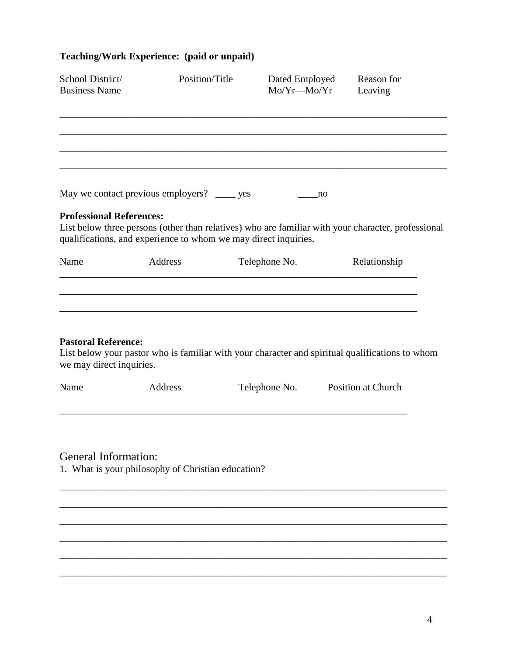# **Teaching/Work Experience: (paid or unpaid)**

| School District/<br><b>Business Name</b>               | Position/Title                                                  | Dated Employed<br>$Mo/Yr$ — $Mo/Yr$ | Reason for<br>Leaving                                                                              |
|--------------------------------------------------------|-----------------------------------------------------------------|-------------------------------------|----------------------------------------------------------------------------------------------------|
|                                                        |                                                                 |                                     |                                                                                                    |
|                                                        |                                                                 |                                     |                                                                                                    |
|                                                        | May we contact previous employers? ______ yes                   | no                                  |                                                                                                    |
| <b>Professional References:</b>                        | qualifications, and experience to whom we may direct inquiries. |                                     | List below three persons (other than relatives) who are familiar with your character, professional |
| Name                                                   | Address                                                         | Telephone No.                       | Relationship                                                                                       |
| <b>Pastoral Reference:</b><br>we may direct inquiries. |                                                                 |                                     | List below your pastor who is familiar with your character and spiritual qualifications to whom    |
| Name                                                   | Address                                                         | Telephone No.                       | <b>Position at Church</b>                                                                          |
| <b>General Information:</b>                            | 1. What is your philosophy of Christian education?              |                                     |                                                                                                    |
|                                                        |                                                                 |                                     |                                                                                                    |

\_\_\_\_\_\_\_\_\_\_\_\_\_\_\_\_\_\_\_\_\_\_\_\_\_\_\_\_\_\_\_\_\_\_\_\_\_\_\_\_\_\_\_\_\_\_\_\_\_\_\_\_\_\_\_\_\_\_\_\_\_\_\_\_\_\_\_\_\_\_\_\_\_\_\_\_\_\_

\_\_\_\_\_\_\_\_\_\_\_\_\_\_\_\_\_\_\_\_\_\_\_\_\_\_\_\_\_\_\_\_\_\_\_\_\_\_\_\_\_\_\_\_\_\_\_\_\_\_\_\_\_\_\_\_\_\_\_\_\_\_\_\_\_\_\_\_\_\_\_\_\_\_\_\_\_\_

\_\_\_\_\_\_\_\_\_\_\_\_\_\_\_\_\_\_\_\_\_\_\_\_\_\_\_\_\_\_\_\_\_\_\_\_\_\_\_\_\_\_\_\_\_\_\_\_\_\_\_\_\_\_\_\_\_\_\_\_\_\_\_\_\_\_\_\_\_\_\_\_\_\_\_\_\_\_

\_\_\_\_\_\_\_\_\_\_\_\_\_\_\_\_\_\_\_\_\_\_\_\_\_\_\_\_\_\_\_\_\_\_\_\_\_\_\_\_\_\_\_\_\_\_\_\_\_\_\_\_\_\_\_\_\_\_\_\_\_\_\_\_\_\_\_\_\_\_\_\_\_\_\_\_\_\_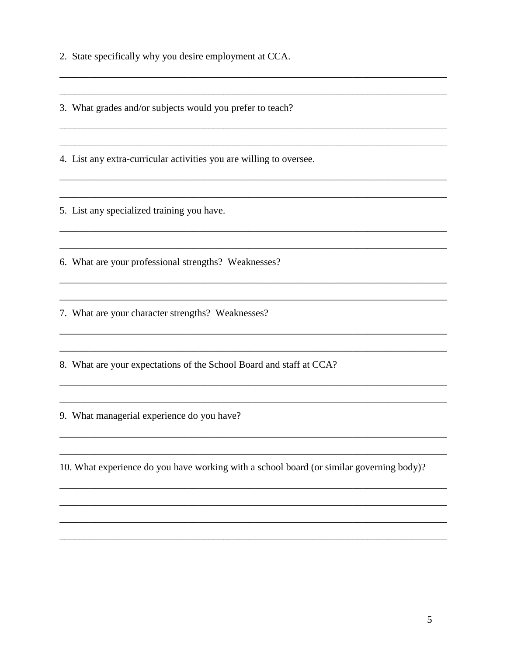2. State specifically why you desire employment at CCA.

3. What grades and/or subjects would you prefer to teach?

4. List any extra-curricular activities you are willing to oversee.

5. List any specialized training you have.

6. What are your professional strengths? Weaknesses?

<u> 1989 - Johann John Stone, mars and de finland and de finland and de finland and definition of the second second</u>

7. What are your character strengths? Weaknesses?

8. What are your expectations of the School Board and staff at CCA?

9. What managerial experience do you have?

10. What experience do you have working with a school board (or similar governing body)?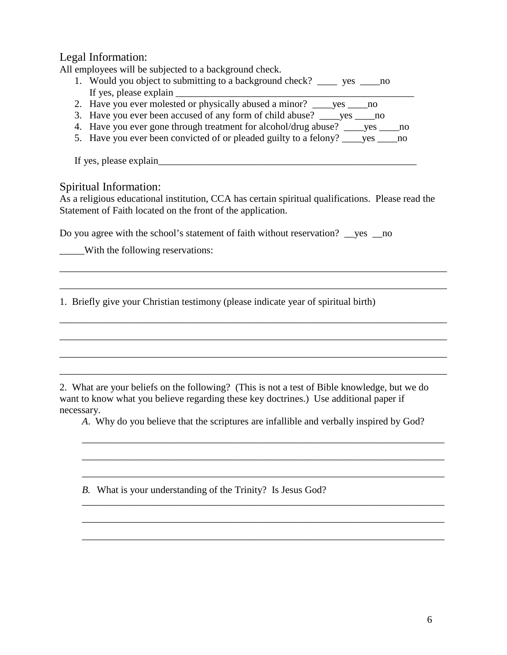### Legal Information:

All employees will be subjected to a background check.

- 1. Would you object to submitting to a background check? \_\_\_\_ yes \_\_\_\_no If yes, please explain
- 2. Have you ever molested or physically abused a minor? \_\_\_\_yes \_\_\_\_no
- 3. Have you ever been accused of any form of child abuse? \_\_\_\_yes \_\_\_\_no
- 4. Have you ever gone through treatment for alcohol/drug abuse? \_\_\_\_yes \_\_\_\_no
- 5. Have you ever been convicted of or pleaded guilty to a felony? ves no

If yes, please explain\_\_\_\_\_\_\_\_\_\_\_\_\_\_\_\_\_\_\_\_\_\_\_\_\_\_\_\_\_\_\_\_\_\_\_\_\_\_\_\_\_\_\_\_\_\_\_\_\_\_\_\_

#### Spiritual Information:

As a religious educational institution, CCA has certain spiritual qualifications. Please read the Statement of Faith located on the front of the application.

\_\_\_\_\_\_\_\_\_\_\_\_\_\_\_\_\_\_\_\_\_\_\_\_\_\_\_\_\_\_\_\_\_\_\_\_\_\_\_\_\_\_\_\_\_\_\_\_\_\_\_\_\_\_\_\_\_\_\_\_\_\_\_\_\_\_\_\_\_\_\_\_\_\_\_\_\_\_

\_\_\_\_\_\_\_\_\_\_\_\_\_\_\_\_\_\_\_\_\_\_\_\_\_\_\_\_\_\_\_\_\_\_\_\_\_\_\_\_\_\_\_\_\_\_\_\_\_\_\_\_\_\_\_\_\_\_\_\_\_\_\_\_\_\_\_\_\_\_\_\_\_\_\_\_\_\_

\_\_\_\_\_\_\_\_\_\_\_\_\_\_\_\_\_\_\_\_\_\_\_\_\_\_\_\_\_\_\_\_\_\_\_\_\_\_\_\_\_\_\_\_\_\_\_\_\_\_\_\_\_\_\_\_\_\_\_\_\_\_\_\_\_\_\_\_\_\_\_\_\_\_\_\_\_\_

\_\_\_\_\_\_\_\_\_\_\_\_\_\_\_\_\_\_\_\_\_\_\_\_\_\_\_\_\_\_\_\_\_\_\_\_\_\_\_\_\_\_\_\_\_\_\_\_\_\_\_\_\_\_\_\_\_\_\_\_\_\_\_\_\_\_\_\_\_\_\_\_\_\_\_\_\_\_

\_\_\_\_\_\_\_\_\_\_\_\_\_\_\_\_\_\_\_\_\_\_\_\_\_\_\_\_\_\_\_\_\_\_\_\_\_\_\_\_\_\_\_\_\_\_\_\_\_\_\_\_\_\_\_\_\_\_\_\_\_\_\_\_\_\_\_\_\_\_\_\_\_\_\_\_\_\_

\_\_\_\_\_\_\_\_\_\_\_\_\_\_\_\_\_\_\_\_\_\_\_\_\_\_\_\_\_\_\_\_\_\_\_\_\_\_\_\_\_\_\_\_\_\_\_\_\_\_\_\_\_\_\_\_\_\_\_\_\_\_\_\_\_\_\_\_\_\_\_\_\_\_\_\_\_\_

Do you agree with the school's statement of faith without reservation? ves no

With the following reservations:

1. Briefly give your Christian testimony (please indicate year of spiritual birth)

2. What are your beliefs on the following? (This is not a test of Bible knowledge, but we do want to know what you believe regarding these key doctrines.) Use additional paper if necessary.

*A*. Why do you believe that the scriptures are infallible and verbally inspired by God?

\_\_\_\_\_\_\_\_\_\_\_\_\_\_\_\_\_\_\_\_\_\_\_\_\_\_\_\_\_\_\_\_\_\_\_\_\_\_\_\_\_\_\_\_\_\_\_\_\_\_\_\_\_\_\_\_\_\_\_\_\_\_\_\_\_\_\_\_\_\_\_\_\_

\_\_\_\_\_\_\_\_\_\_\_\_\_\_\_\_\_\_\_\_\_\_\_\_\_\_\_\_\_\_\_\_\_\_\_\_\_\_\_\_\_\_\_\_\_\_\_\_\_\_\_\_\_\_\_\_\_\_\_\_\_\_\_\_\_\_\_\_\_\_\_\_\_

\_\_\_\_\_\_\_\_\_\_\_\_\_\_\_\_\_\_\_\_\_\_\_\_\_\_\_\_\_\_\_\_\_\_\_\_\_\_\_\_\_\_\_\_\_\_\_\_\_\_\_\_\_\_\_\_\_\_\_\_\_\_\_\_\_\_\_\_\_\_\_\_\_

\_\_\_\_\_\_\_\_\_\_\_\_\_\_\_\_\_\_\_\_\_\_\_\_\_\_\_\_\_\_\_\_\_\_\_\_\_\_\_\_\_\_\_\_\_\_\_\_\_\_\_\_\_\_\_\_\_\_\_\_\_\_\_\_\_\_\_\_\_\_\_\_\_

\_\_\_\_\_\_\_\_\_\_\_\_\_\_\_\_\_\_\_\_\_\_\_\_\_\_\_\_\_\_\_\_\_\_\_\_\_\_\_\_\_\_\_\_\_\_\_\_\_\_\_\_\_\_\_\_\_\_\_\_\_\_\_\_\_\_\_\_\_\_\_\_\_

\_\_\_\_\_\_\_\_\_\_\_\_\_\_\_\_\_\_\_\_\_\_\_\_\_\_\_\_\_\_\_\_\_\_\_\_\_\_\_\_\_\_\_\_\_\_\_\_\_\_\_\_\_\_\_\_\_\_\_\_\_\_\_\_\_\_\_\_\_\_\_\_\_

*B.* What is your understanding of the Trinity? Is Jesus God?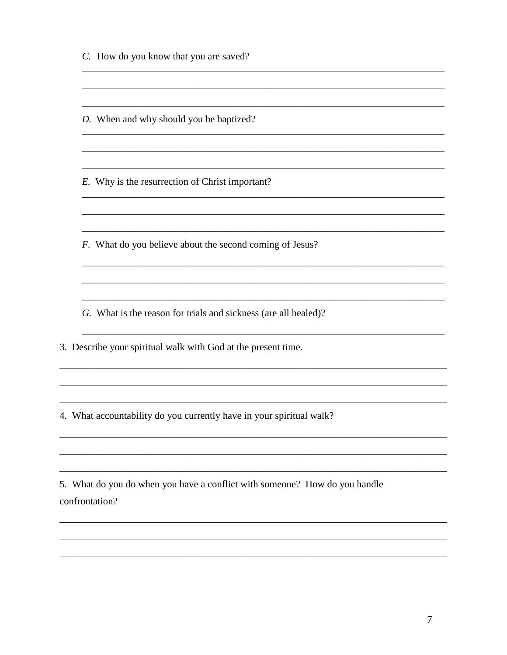C. How do you know that you are saved?

D. When and why should you be baptized?

E. Why is the resurrection of Christ important?

F. What do you believe about the second coming of Jesus?

<u> 1989 - Jan James James, margaret eta idazleari zituen erroman zituen erroman zituen zituen zituen zituen zi</u>

<u> 1989 - Jan James James James James James James James James James James James James James James James James J</u>

G. What is the reason for trials and sickness (are all healed)?

3. Describe your spiritual walk with God at the present time.

4. What accountability do you currently have in your spiritual walk?

5. What do you do when you have a conflict with someone? How do you handle confrontation?